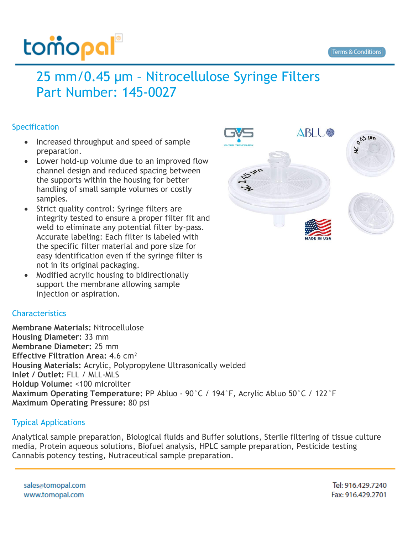## tomopal

### 25 mm/0.45 µm – Nitrocellulose Syringe Filters Part Number: 145-0027

#### **Specification**

- Increased throughput and speed of sample preparation.
- Lower hold-up volume due to an improved flow channel design and reduced spacing between the supports within the housing for better handling of small sample volumes or costly samples.
- Strict quality control: Syringe filters are integrity tested to ensure a proper filter fit and weld to eliminate any potential filter by-pass. Accurate labeling: Each filter is labeled with the specific filter material and pore size for easy identification even if the syringe filter is not in its original packaging.
- Modified acrylic housing to bidirectionally support the membrane allowing sample injection or aspiration.

#### **Characteristics**

**Membrane Materials:** Nitrocellulose **Housing Diameter:** 33 mm **Membrane Diameter:** 25 mm **Effective Filtration Area:** 4.6 cm² **Housing Materials:** Acrylic, Polypropylene Ultrasonically welded **Inlet / Outlet:** FLL / MLL-MLS **Holdup Volume:** <100 microliter **Maximum Operating Temperature:** PP Abluo - 90°C / 194°F, Acrylic Abluo 50°C / 122°F **Maximum Operating Pressure:** 80 psi

#### Typical Applications

Analytical sample preparation, Biological fluids and Buffer solutions, Sterile filtering of tissue culture media, Protein aqueous solutions, Biofuel analysis, HPLC sample preparation, Pesticide testing Cannabis potency testing, Nutraceutical sample preparation.

Tel: 916.429.7240 Fax: 916.429.2701